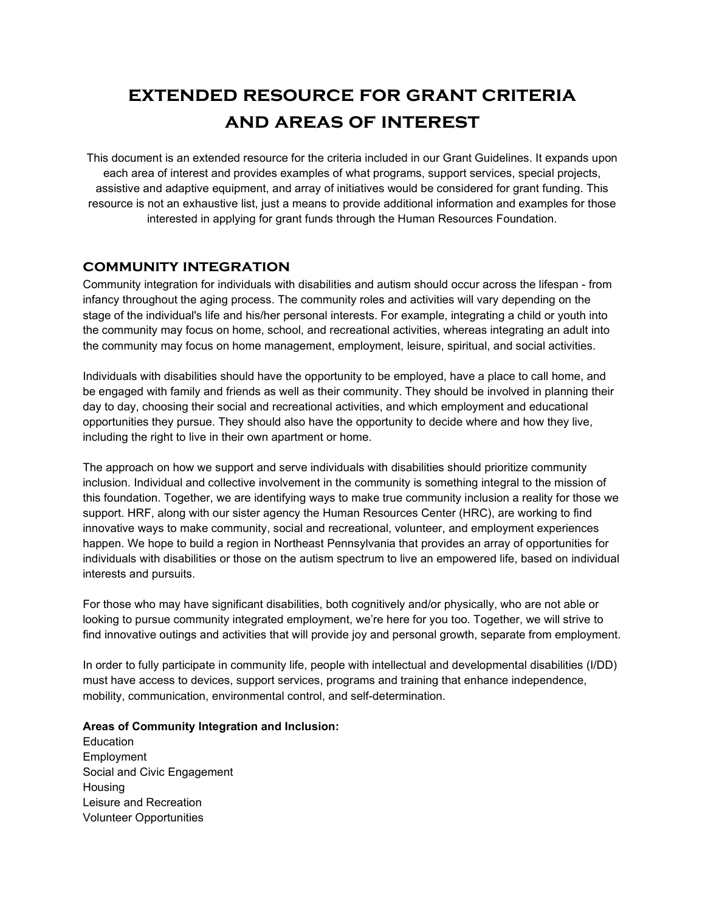# **extended resource for grant criteria and areas of interest**

This document is an extended resource for the criteria included in our Grant Guidelines. It expands upon each area of interest and provides examples of what programs, support services, special projects, assistive and adaptive equipment, and array of initiatives would be considered for grant funding. This resource is not an exhaustive list, just a means to provide additional information and examples for those interested in applying for grant funds through the Human Resources Foundation.

#### **community integration**

Community integration for individuals with disabilities and autism should occur across the lifespan - from infancy throughout the aging process. The community roles and activities will vary depending on the stage of the individual's life and his/her personal interests. For example, integrating a child or youth into the community may focus on home, school, and recreational activities, whereas integrating an adult into the community may focus on home management, employment, leisure, spiritual, and social activities.

Individuals with disabilities should have the opportunity to be employed, have a place to call home, and be engaged with family and friends as well as their community. They should be involved in planning their day to day, choosing their social and recreational activities, and which employment and educational opportunities they pursue. They should also have the opportunity to decide where and how they live, including the right to live in their own apartment or home.

The approach on how we support and serve individuals with disabilities should prioritize community inclusion. Individual and collective involvement in the community is something integral to the mission of this foundation. Together, we are identifying ways to make true community inclusion a reality for those we support. HRF, along with our sister agency the Human Resources Center (HRC), are working to find innovative ways to make community, social and recreational, volunteer, and employment experiences happen. We hope to build a region in Northeast Pennsylvania that provides an array of opportunities for individuals with disabilities or those on the autism spectrum to live an empowered life, based on individual interests and pursuits.

For those who may have significant disabilities, both cognitively and/or physically, who are not able or looking to pursue community integrated employment, we're here for you too. Together, we will strive to find innovative outings and activities that will provide joy and personal growth, separate from employment.

In order to fully participate in community life, people with intellectual and developmental disabilities (I/DD) must have access to devices, support services, programs and training that enhance independence, mobility, communication, environmental control, and self-determination.

#### **Areas of Community Integration and Inclusion:**

Education Employment Social and Civic Engagement **Housing** Leisure and Recreation Volunteer Opportunities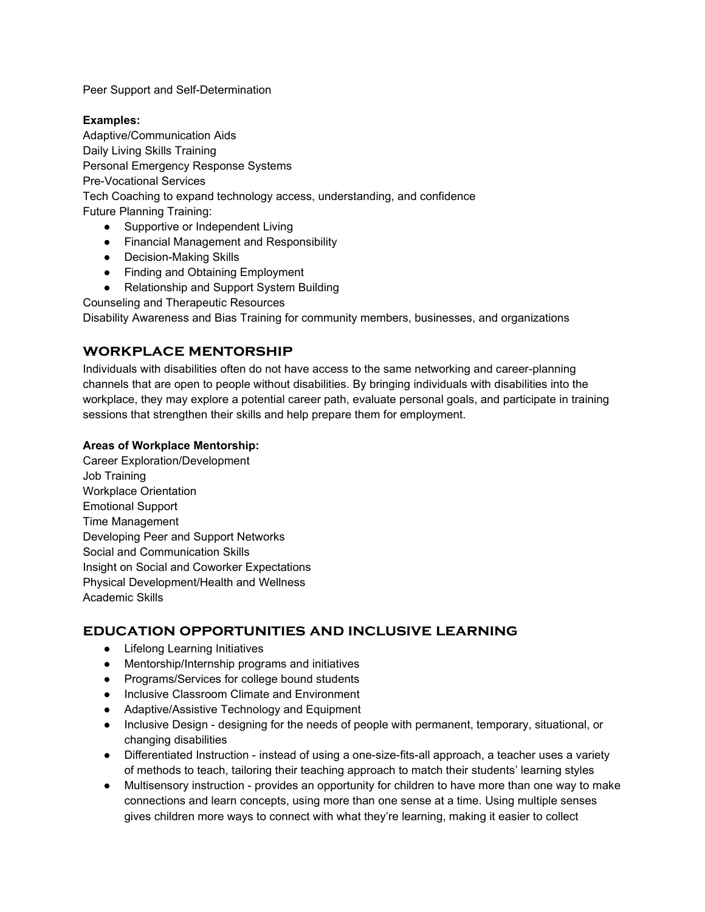Peer Support and Self-Determination

#### **Examples:**

Adaptive/Communication Aids Daily Living Skills Training Personal Emergency Response Systems Pre-Vocational Services Tech Coaching to expand technology access, understanding, and confidence Future Planning Training:

- Supportive or Independent Living
- Financial Management and Responsibility
- Decision-Making Skills
- Finding and Obtaining Employment
- Relationship and Support System Building

Counseling and Therapeutic Resources

Disability Awareness and Bias Training for community members, businesses, and organizations

## **workplace mentorship**

Individuals with disabilities often do not have access to the same networking and career-planning channels that are open to people without disabilities. By bringing individuals with disabilities into the workplace, they may explore a potential career path, evaluate personal goals, and participate in training sessions that strengthen their skills and help prepare them for employment.

#### **Areas of Workplace Mentorship:**

Career Exploration/Development Job Training Workplace Orientation Emotional Support Time Management Developing Peer and Support Networks Social and Communication Skills Insight on Social and Coworker Expectations Physical Development/Health and Wellness Academic Skills

### **education opportunities and inclusive learning**

- Lifelong Learning Initiatives
- Mentorship/Internship programs and initiatives
- Programs/Services for college bound students
- Inclusive Classroom Climate and Environment
- Adaptive/Assistive Technology and Equipment
- Inclusive Design designing for the needs of people with permanent, temporary, situational, or changing disabilities
- Differentiated Instruction instead of using a one-size-fits-all approach, a teacher uses a variety of methods to teach, tailoring their teaching approach to match their students' learning styles
- Multisensory instruction provides an opportunity for children to have more than one way to make connections and learn concepts, using more than one sense at a time. Using multiple senses gives children more ways to connect with what they're learning, making it easier to collect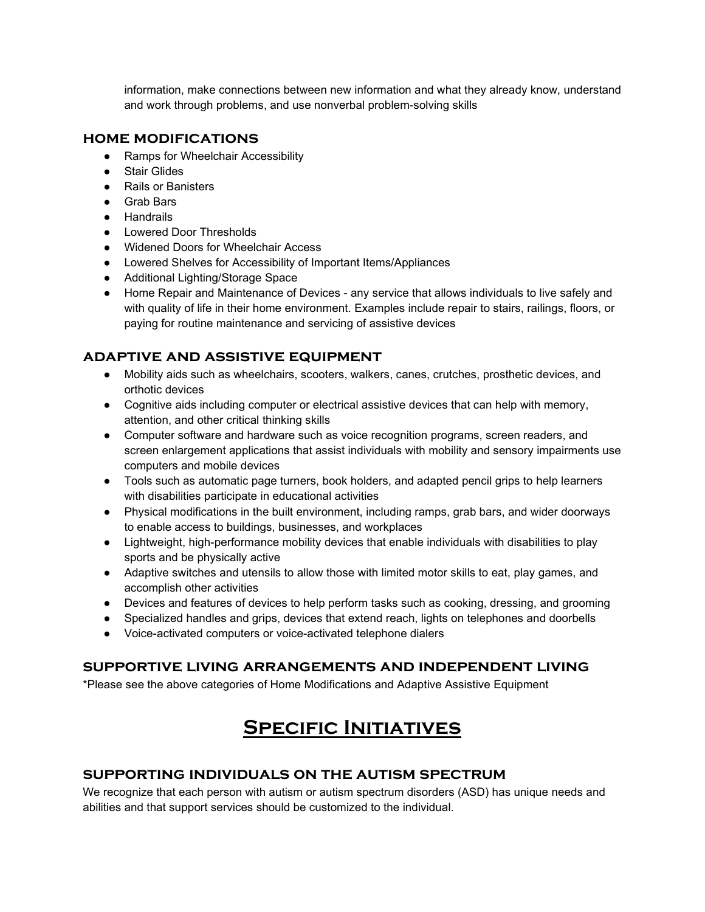information, make connections between new information and what they already know, understand and work through problems, and use nonverbal problem-solving skills

### **home modifications**

- Ramps for Wheelchair Accessibility
- Stair Glides
- Rails or Banisters
- Grab Bars
- Handrails
- Lowered Door Thresholds
- Widened Doors for Wheelchair Access
- Lowered Shelves for Accessibility of Important Items/Appliances
- Additional Lighting/Storage Space
- Home Repair and Maintenance of Devices any service that allows individuals to live safely and with quality of life in their home environment. Examples include repair to stairs, railings, floors, or paying for routine maintenance and servicing of assistive devices

## **adaptive and assistive equipment**

- Mobility aids such as wheelchairs, scooters, walkers, canes, crutches, prosthetic devices, and orthotic devices
- Cognitive aids including computer or electrical assistive devices that can help with memory, attention, and other critical thinking skills
- Computer software and hardware such as voice recognition programs, screen readers, and screen enlargement applications that assist individuals with mobility and sensory impairments use computers and mobile devices
- Tools such as automatic page turners, book holders, and adapted pencil grips to help learners with disabilities participate in educational activities
- Physical modifications in the built environment, including ramps, grab bars, and wider doorways to enable access to buildings, businesses, and workplaces
- Lightweight, high-performance mobility devices that enable individuals with disabilities to play sports and be physically active
- Adaptive switches and utensils to allow those with limited motor skills to eat, play games, and accomplish other activities
- Devices and features of devices to help perform tasks such as cooking, dressing, and grooming
- Specialized handles and grips, devices that extend reach, lights on telephones and doorbells
- Voice-activated computers or voice-activated telephone dialers

## **supportive living arrangements and independent living**

\*Please see the above categories of Home Modifications and Adaptive Assistive Equipment

# **Specific Initiatives**

## **supporting individuals on the autism spectrum**

We recognize that each person with autism or autism spectrum disorders (ASD) has unique needs and abilities and that support services should be customized to the individual.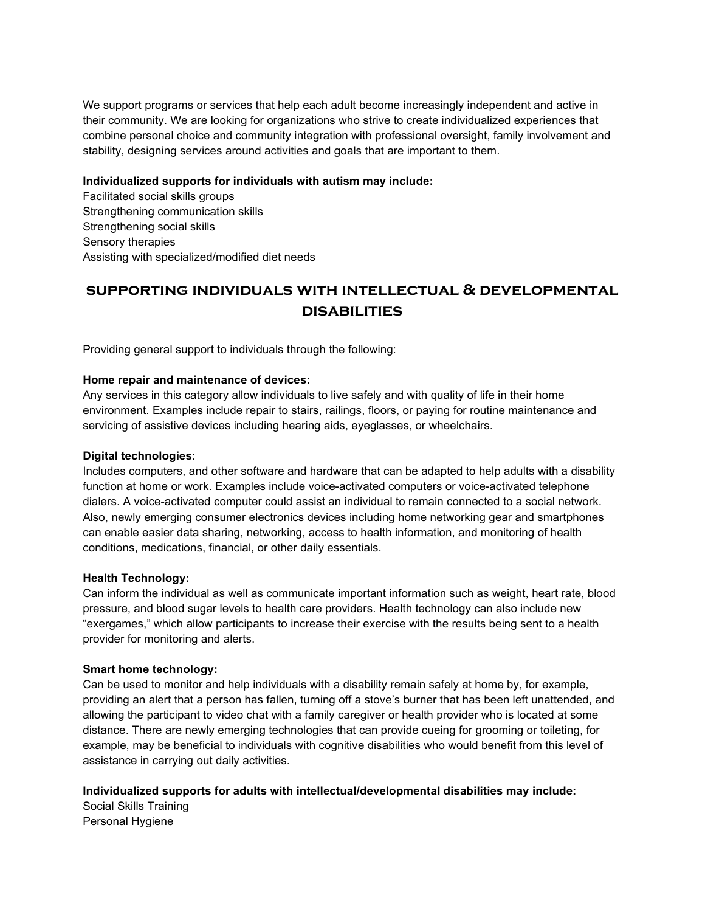We support programs or services that help each adult become increasingly independent and active in their community. We are looking for organizations who strive to create individualized experiences that combine personal choice and community integration with professional oversight, family involvement and stability, designing services around activities and goals that are important to them.

#### **Individualized supports for individuals with autism may include:**

Facilitated social skills groups Strengthening communication skills Strengthening social skills Sensory therapies Assisting with specialized/modified diet needs

## **supporting individuals with intellectual & developmental disabilities**

Providing general support to individuals through the following:

#### **Home repair and maintenance of devices:**

Any services in this category allow individuals to live safely and with quality of life in their home environment. Examples include repair to stairs, railings, floors, or paying for routine maintenance and servicing of assistive devices including hearing aids, eyeglasses, or wheelchairs.

#### **Digital technologies**:

Includes computers, and other software and hardware that can be adapted to help adults with a disability function at home or work. Examples include voice-activated computers or voice-activated telephone dialers. A voice-activated computer could assist an individual to remain connected to a social network. Also, newly emerging consumer electronics devices including home networking gear and smartphones can enable easier data sharing, networking, access to health information, and monitoring of health conditions, medications, financial, or other daily essentials.

#### **Health Technology:**

Can inform the individual as well as communicate important information such as weight, heart rate, blood pressure, and blood sugar levels to health care providers. Health technology can also include new "exergames," which allow participants to increase their exercise with the results being sent to a health provider for monitoring and alerts.

#### **Smart home technology:**

Can be used to monitor and help individuals with a disability remain safely at home by, for example, providing an alert that a person has fallen, turning off a stove's burner that has been left unattended, and allowing the participant to video chat with a family caregiver or health provider who is located at some distance. There are newly emerging technologies that can provide cueing for grooming or toileting, for example, may be beneficial to individuals with cognitive disabilities who would benefit from this level of assistance in carrying out daily activities.

#### **Individualized supports for adults with intellectual/developmental disabilities may include:**

Social Skills Training Personal Hygiene